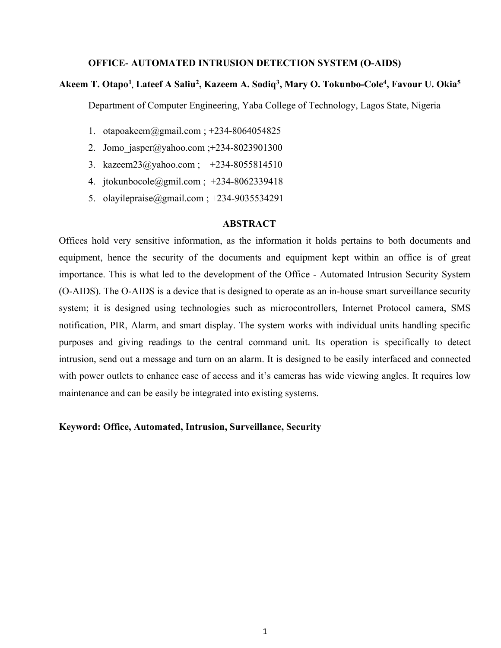#### OFFICE- AUTOMATED INTRUSION DETECTION SYSTEM (O-AIDS)

## Akeem T. Otapo<sup>1</sup>, Lateef A Saliu<sup>2</sup>, Kazeem A. Sodiq<sup>3</sup>, Mary O. Tokunbo-Cole<sup>4</sup>, Favour U. Okia<sup>5</sup>

Department of Computer Engineering, Yaba College of Technology, Lagos State, Nigeria

- 1. otapoakeem@gmail.com ; +234-8064054825
- 2. Jomo\_jasper@yahoo.com ;+234-8023901300
- 3. kazeem23@yahoo.com ; +234-8055814510
- 4. jtokunbocole@gmil.com ; +234-8062339418
- 5. olayilepraise@gmail.com ; +234-9035534291

#### ABSTRACT

Offices hold very sensitive information, as the information it holds pertains to both documents and equipment, hence the security of the documents and equipment kept within an office is of great importance. This is what led to the development of the Office - Automated Intrusion Security System (O-AIDS). The O-AIDS is a device that is designed to operate as an in-house smart surveillance security system; it is designed using technologies such as microcontrollers, Internet Protocol camera, SMS notification, PIR, Alarm, and smart display. The system works with individual units handling specific purposes and giving readings to the central command unit. Its operation is specifically to detect intrusion, send out a message and turn on an alarm. It is designed to be easily interfaced and connected with power outlets to enhance ease of access and it's cameras has wide viewing angles. It requires low maintenance and can be easily be integrated into existing systems.

### Keyword: Office, Automated, Intrusion, Surveillance, Security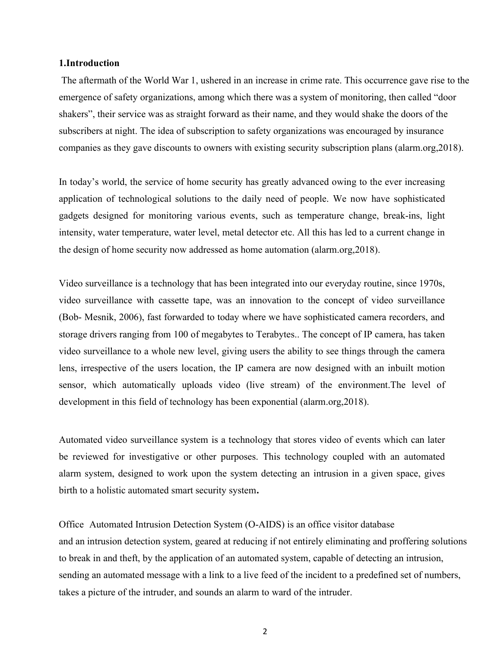### 1.Introduction

 The aftermath of the World War 1, ushered in an increase in crime rate. This occurrence gave rise to the emergence of safety organizations, among which there was a system of monitoring, then called "door shakers", their service was as straight forward as their name, and they would shake the doors of the subscribers at night. The idea of subscription to safety organizations was encouraged by insurance companies as they gave discounts to owners with existing security subscription plans (alarm.org,2018).

In today's world, the service of home security has greatly advanced owing to the ever increasing application of technological solutions to the daily need of people. We now have sophisticated gadgets designed for monitoring various events, such as temperature change, break-ins, light intensity, water temperature, water level, metal detector etc. All this has led to a current change in the design of home security now addressed as home automation (alarm.org,2018).

Video surveillance is a technology that has been integrated into our everyday routine, since 1970s, video surveillance with cassette tape, was an innovation to the concept of video surveillance (Bob- Mesnik, 2006), fast forwarded to today where we have sophisticated camera recorders, and storage drivers ranging from 100 of megabytes to Terabytes.. The concept of IP camera, has taken video surveillance to a whole new level, giving users the ability to see things through the camera lens, irrespective of the users location, the IP camera are now designed with an inbuilt motion sensor, which automatically uploads video (live stream) of the environment.The level of development in this field of technology has been exponential (alarm.org,2018).

Automated video surveillance system is a technology that stores video of events which can later be reviewed for investigative or other purposes. This technology coupled with an automated alarm system, designed to work upon the system detecting an intrusion in a given space, gives birth to a holistic automated smart security system.

Office Automated Intrusion Detection System (O-AIDS) is an office visitor database and an intrusion detection system, geared at reducing if not entirely eliminating and proffering solutions to break in and theft, by the application of an automated system, capable of detecting an intrusion, sending an automated message with a link to a live feed of the incident to a predefined set of numbers, takes a picture of the intruder, and sounds an alarm to ward of the intruder.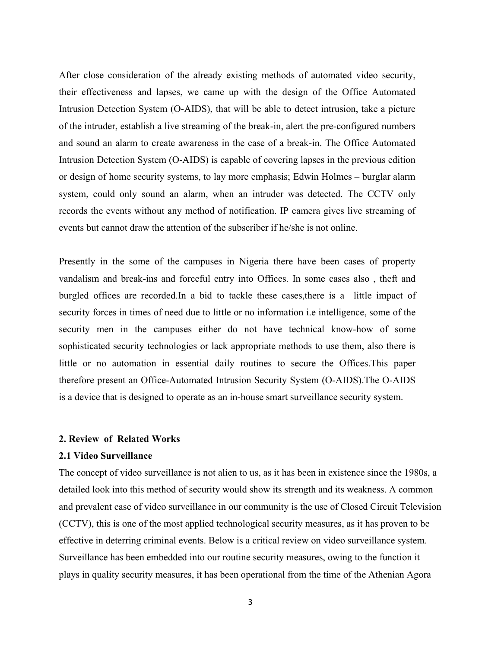After close consideration of the already existing methods of automated video security, their effectiveness and lapses, we came up with the design of the Office Automated Intrusion Detection System (O-AIDS), that will be able to detect intrusion, take a picture of the intruder, establish a live streaming of the break-in, alert the pre-configured numbers and sound an alarm to create awareness in the case of a break-in. The Office Automated Intrusion Detection System (O-AIDS) is capable of covering lapses in the previous edition or design of home security systems, to lay more emphasis; Edwin Holmes – burglar alarm system, could only sound an alarm, when an intruder was detected. The CCTV only records the events without any method of notification. IP camera gives live streaming of events but cannot draw the attention of the subscriber if he/she is not online.

Presently in the some of the campuses in Nigeria there have been cases of property vandalism and break-ins and forceful entry into Offices. In some cases also , theft and burgled offices are recorded.In a bid to tackle these cases,there is a little impact of security forces in times of need due to little or no information i.e intelligence, some of the security men in the campuses either do not have technical know-how of some sophisticated security technologies or lack appropriate methods to use them, also there is little or no automation in essential daily routines to secure the Offices.This paper therefore present an Office-Automated Intrusion Security System (O-AIDS).The O-AIDS is a device that is designed to operate as an in-house smart surveillance security system.

#### 2. Review of Related Works

### 2.1 Video Surveillance

The concept of video surveillance is not alien to us, as it has been in existence since the 1980s, a detailed look into this method of security would show its strength and its weakness. A common and prevalent case of video surveillance in our community is the use of Closed Circuit Television (CCTV), this is one of the most applied technological security measures, as it has proven to be effective in deterring criminal events. Below is a critical review on video surveillance system. Surveillance has been embedded into our routine security measures, owing to the function it plays in quality security measures, it has been operational from the time of the Athenian Agora

3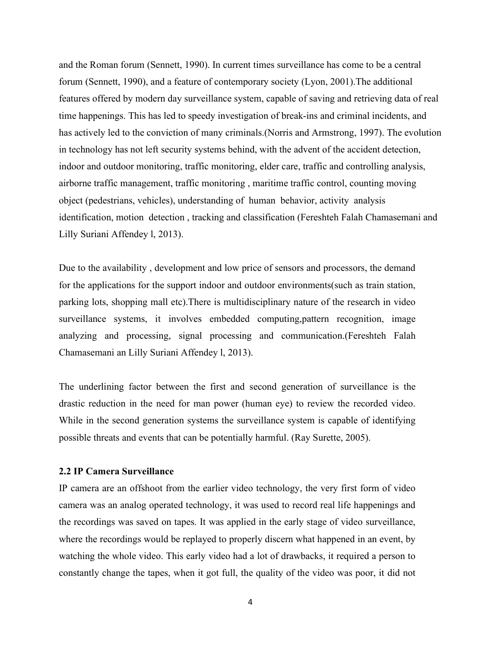and the Roman forum (Sennett, 1990). In current times surveillance has come to be a central forum (Sennett, 1990), and a feature of contemporary society (Lyon, 2001).The additional features offered by modern day surveillance system, capable of saving and retrieving data of real time happenings. This has led to speedy investigation of break-ins and criminal incidents, and has actively led to the conviction of many criminals.(Norris and Armstrong, 1997). The evolution in technology has not left security systems behind, with the advent of the accident detection, indoor and outdoor monitoring, traffic monitoring, elder care, traffic and controlling analysis, airborne traffic management, traffic monitoring , maritime traffic control, counting moving object (pedestrians, vehicles), understanding of human behavior, activity analysis identification, motion detection , tracking and classification (Fereshteh Falah Chamasemani and Lilly Suriani Affendey l, 2013).

Due to the availability , development and low price of sensors and processors, the demand for the applications for the support indoor and outdoor environments(such as train station, parking lots, shopping mall etc).There is multidisciplinary nature of the research in video surveillance systems, it involves embedded computing,pattern recognition, image analyzing and processing, signal processing and communication.(Fereshteh Falah Chamasemani an Lilly Suriani Affendey l, 2013).

The underlining factor between the first and second generation of surveillance is the drastic reduction in the need for man power (human eye) to review the recorded video. While in the second generation systems the surveillance system is capable of identifying possible threats and events that can be potentially harmful. (Ray Surette, 2005).

#### 2.2 IP Camera Surveillance

IP camera are an offshoot from the earlier video technology, the very first form of video camera was an analog operated technology, it was used to record real life happenings and the recordings was saved on tapes. It was applied in the early stage of video surveillance, where the recordings would be replayed to properly discern what happened in an event, by watching the whole video. This early video had a lot of drawbacks, it required a person to constantly change the tapes, when it got full, the quality of the video was poor, it did not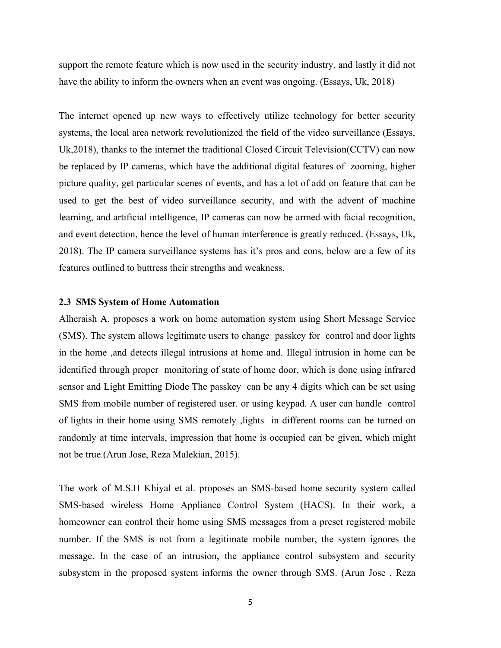support the remote feature which is now used in the security industry, and lastly it did not have the ability to inform the owners when an event was ongoing. (Essays, Uk, 2018)

The internet opened up new ways to effectively utilize technology for better security systems, the local area network revolutionized the field of the video surveillance (Essays, Uk,2018), thanks to the internet the traditional Closed Circuit Television(CCTV) can now be replaced by IP cameras, which have the additional digital features of zooming, higher picture quality, get particular scenes of events, and has a lot of add on feature that can be used to get the best of video surveillance security, and with the advent of machine learning, and artificial intelligence, IP cameras can now be armed with facial recognition, and event detection, hence the level of human interference is greatly reduced. (Essays, Uk, 2018). The IP camera surveillance systems has it's pros and cons, below are a few of its features outlined to buttress their strengths and weakness.

#### 2.3 SMS System of Home Automation

Alheraish A. proposes a work on home automation system using Short Message Service (SMS). The system allows legitimate users to change passkey for control and door lights in the home ,and detects illegal intrusions at home and. Illegal intrusion in home can be identified through proper monitoring of state of home door, which is done using infrared sensor and Light Emitting Diode The passkey can be any 4 digits which can be set using SMS from mobile number of registered user. or using keypad. A user can handle control of lights in their home using SMS remotely ,lights in different rooms can be turned on randomly at time intervals, impression that home is occupied can be given, which might not be true.(Arun Jose, Reza Malekian, 2015).

The work of M.S.H Khiyal et al. proposes an SMS-based home security system called SMS-based wireless Home Appliance Control System (HACS). In their work, a homeowner can control their home using SMS messages from a preset registered mobile number. If the SMS is not from a legitimate mobile number, the system ignores the message. In the case of an intrusion, the appliance control subsystem and security subsystem in the proposed system informs the owner through SMS. (Arun Jose , Reza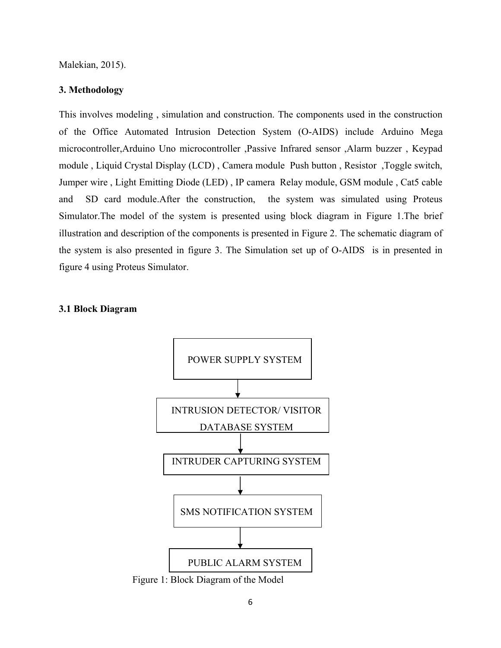Malekian, 2015).

#### 3. Methodology

This involves modeling , simulation and construction. The components used in the construction of the Office Automated Intrusion Detection System (O-AIDS) include Arduino Mega microcontroller,Arduino Uno microcontroller ,Passive Infrared sensor ,Alarm buzzer , Keypad module , Liquid Crystal Display (LCD) , Camera module Push button , Resistor ,Toggle switch, Jumper wire , Light Emitting Diode (LED) , IP camera Relay module, GSM module , Cat5 cable and SD card module.After the construction, the system was simulated using Proteus Simulator.The model of the system is presented using block diagram in Figure 1.The brief illustration and description of the components is presented in Figure 2. The schematic diagram of the system is also presented in figure 3. The Simulation set up of O-AIDS is in presented in figure 4 using Proteus Simulator.

#### 3.1 Block Diagram



Figure 1: Block Diagram of the Model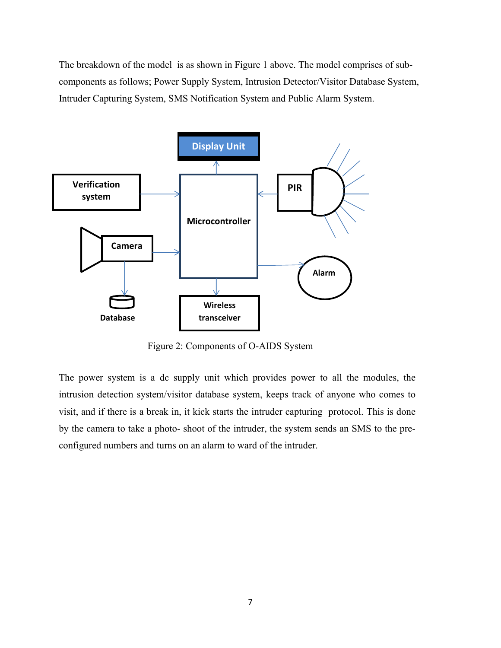The breakdown of the model is as shown in Figure 1 above. The model comprises of subcomponents as follows; Power Supply System, Intrusion Detector/Visitor Database System, Intruder Capturing System, SMS Notification System and Public Alarm System.



Figure 2: Components of O-AIDS System

The power system is a dc supply unit which provides power to all the modules, the intrusion detection system/visitor database system, keeps track of anyone who comes to visit, and if there is a break in, it kick starts the intruder capturing protocol. This is done by the camera to take a photo- shoot of the intruder, the system sends an SMS to the preconfigured numbers and turns on an alarm to ward of the intruder.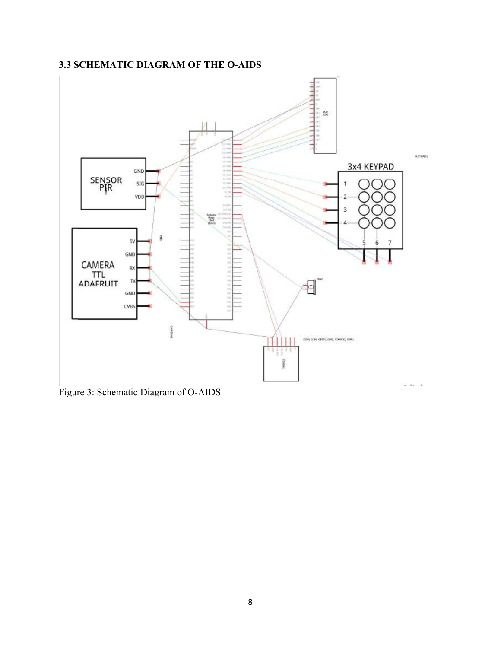# 3.3 SCHEMATIC DIAGRAM OF THE O-AIDS



Figure 3: Schematic Diagram of O-AIDS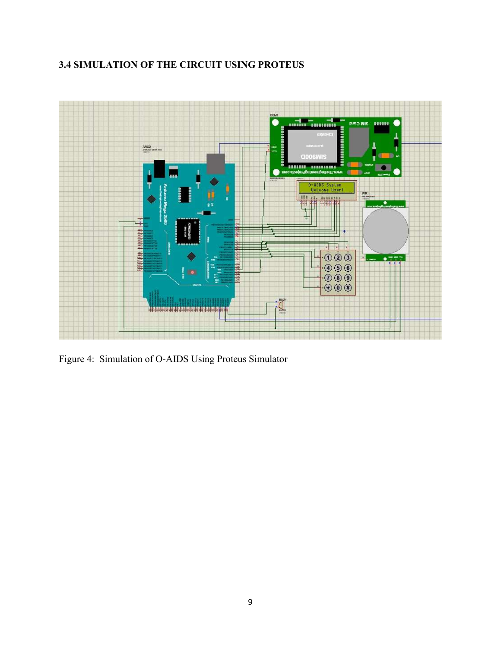# 3.4 SIMULATION OF THE CIRCUIT USING PROTEUS



Figure 4: Simulation of O-AIDS Using Proteus Simulator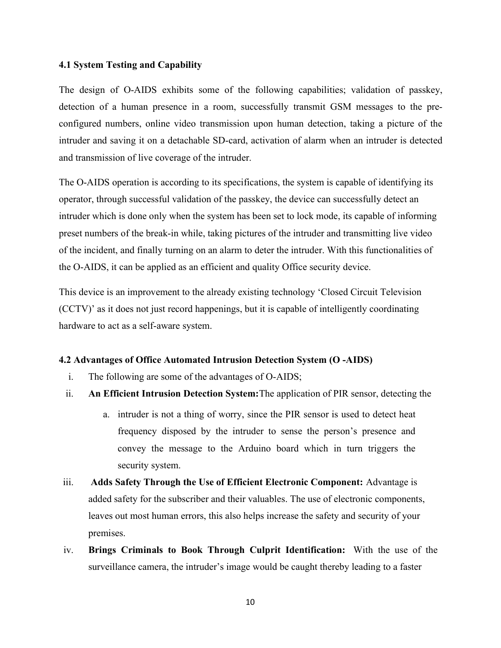#### 4.1 System Testing and Capability

The design of O-AIDS exhibits some of the following capabilities; validation of passkey, detection of a human presence in a room, successfully transmit GSM messages to the preconfigured numbers, online video transmission upon human detection, taking a picture of the intruder and saving it on a detachable SD-card, activation of alarm when an intruder is detected and transmission of live coverage of the intruder.

The O-AIDS operation is according to its specifications, the system is capable of identifying its operator, through successful validation of the passkey, the device can successfully detect an intruder which is done only when the system has been set to lock mode, its capable of informing preset numbers of the break-in while, taking pictures of the intruder and transmitting live video of the incident, and finally turning on an alarm to deter the intruder. With this functionalities of the O-AIDS, it can be applied as an efficient and quality Office security device.

This device is an improvement to the already existing technology 'Closed Circuit Television (CCTV)' as it does not just record happenings, but it is capable of intelligently coordinating hardware to act as a self-aware system.

#### 4.2 Advantages of Office Automated Intrusion Detection System (O -AIDS)

- i. The following are some of the advantages of O-AIDS;
- ii. An Efficient Intrusion Detection System:The application of PIR sensor, detecting the
	- a. intruder is not a thing of worry, since the PIR sensor is used to detect heat frequency disposed by the intruder to sense the person's presence and convey the message to the Arduino board which in turn triggers the security system.
- iii. Adds Safety Through the Use of Efficient Electronic Component: Advantage is added safety for the subscriber and their valuables. The use of electronic components, leaves out most human errors, this also helps increase the safety and security of your premises.
- iv. Brings Criminals to Book Through Culprit Identification: With the use of the surveillance camera, the intruder's image would be caught thereby leading to a faster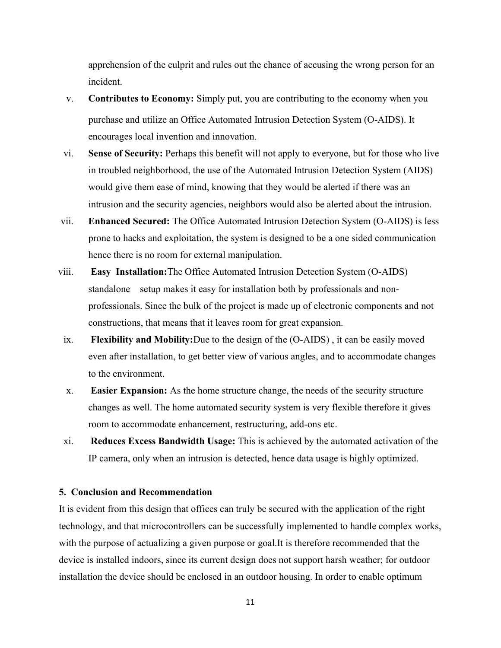apprehension of the culprit and rules out the chance of accusing the wrong person for an incident.

- v. Contributes to Economy: Simply put, you are contributing to the economy when you purchase and utilize an Office Automated Intrusion Detection System (O-AIDS). It encourages local invention and innovation.
- vi. Sense of Security: Perhaps this benefit will not apply to everyone, but for those who live in troubled neighborhood, the use of the Automated Intrusion Detection System (AIDS) would give them ease of mind, knowing that they would be alerted if there was an intrusion and the security agencies, neighbors would also be alerted about the intrusion.
- vii. Enhanced Secured: The Office Automated Intrusion Detection System (O-AIDS) is less prone to hacks and exploitation, the system is designed to be a one sided communication hence there is no room for external manipulation.
- viii. Easy Installation:The Office Automated Intrusion Detection System (O-AIDS) standalone setup makes it easy for installation both by professionals and nonprofessionals. Since the bulk of the project is made up of electronic components and not constructions, that means that it leaves room for great expansion.
	- ix. Flexibility and Mobility:Due to the design of the (O-AIDS) , it can be easily moved even after installation, to get better view of various angles, and to accommodate changes to the environment.
	- x. Easier Expansion: As the home structure change, the needs of the security structure changes as well. The home automated security system is very flexible therefore it gives room to accommodate enhancement, restructuring, add-ons etc.
	- xi. Reduces Excess Bandwidth Usage: This is achieved by the automated activation of the IP camera, only when an intrusion is detected, hence data usage is highly optimized.

## 5. Conclusion and Recommendation

It is evident from this design that offices can truly be secured with the application of the right technology, and that microcontrollers can be successfully implemented to handle complex works, with the purpose of actualizing a given purpose or goal.It is therefore recommended that the device is installed indoors, since its current design does not support harsh weather; for outdoor installation the device should be enclosed in an outdoor housing. In order to enable optimum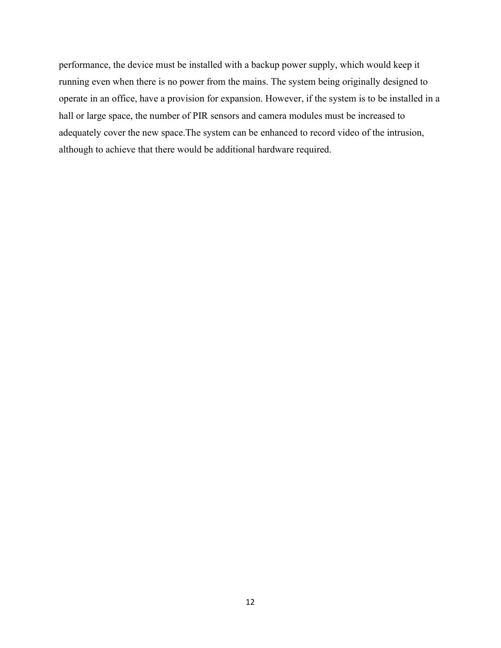performance, the device must be installed with a backup power supply, which would keep it running even when there is no power from the mains. The system being originally designed to operate in an office, have a provision for expansion. However, if the system is to be installed in a hall or large space, the number of PIR sensors and camera modules must be increased to adequately cover the new space.The system can be enhanced to record video of the intrusion, although to achieve that there would be additional hardware required.